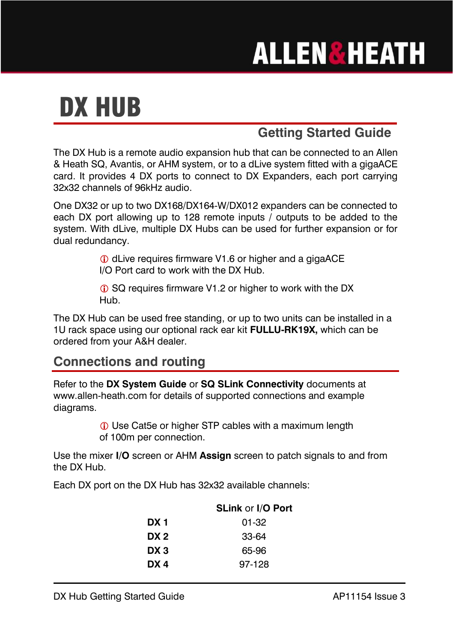## **ALLEN&HEATH**

## DX HUB

## **Getting Started Guide**

The DX Hub is a remote audio expansion hub that can be connected to an Allen & Heath SQ, Avantis, or AHM system, or to a dLive system fitted with a gigaACE card. It provides 4 DX ports to connect to DX Expanders, each port carrying 32x32 channels of 96kHz audio.

One DX32 or up to two DX168/DX164-W/DX012 expanders can be connected to each DX port allowing up to 128 remote inputs / outputs to be added to the system. With dLive, multiple DX Hubs can be used for further expansion or for dual redundancy.

> dLive requires firmware V1.6 or higher and a gigaACE I/O Port card to work with the DX Hub.

G SQ requires firmware V1.2 or higher to work with the DX Hub.

The DX Hub can be used free standing, or up to two units can be installed in a 1U rack space using our optional rack ear kit **FULLU-RK19X,** which can be ordered from your A&H dealer.

## **Connections and routing**

Refer to the **DX System Guide** or **SQ SLink Connectivity** documents at www.allen-heath.com for details of supported connections and example diagrams.

> Use Cat5e or higher STP cables with a maximum length of 100m per connection.

Use the mixer **I/O** screen or AHM **Assign** screen to patch signals to and from the DX Hub.

Each DX port on the DX Hub has 32x32 available channels:

|      | <b>SLink or I/O Port</b> |
|------|--------------------------|
| DX 1 | 01-32                    |
| DX 2 | 33-64                    |
| DX 3 | 65-96                    |
| DX 4 | 97-128                   |